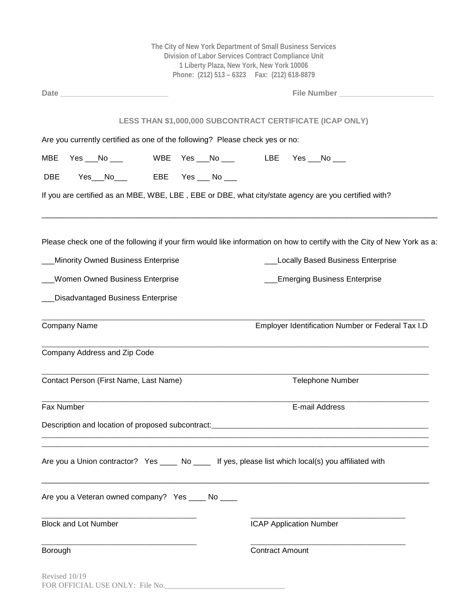|                                                                                                                                                                                                                                | The City of New York Department of Small Business Services<br>Division of Labor Services Contract Compliance Unit<br>1 Liberty Plaza, New York, New York 10006<br>Phone: (212) 513 - 6323    Fax: (212) 618-8879 |
|--------------------------------------------------------------------------------------------------------------------------------------------------------------------------------------------------------------------------------|------------------------------------------------------------------------------------------------------------------------------------------------------------------------------------------------------------------|
| Date and the contract of the contract of the contract of the contract of the contract of the contract of the contract of the contract of the contract of the contract of the contract of the contract of the contract of the c | File Number                                                                                                                                                                                                      |
|                                                                                                                                                                                                                                | LESS THAN \$1,000,000 SUBCONTRACT CERTIFICATE (ICAP ONLY)                                                                                                                                                        |
| Are you currently certified as one of the following? Please check yes or no:                                                                                                                                                   |                                                                                                                                                                                                                  |
| Yes $\rule{1em}{0.15mm}$ No $\rule{1.5mm}{0.15mm}$<br>MBE                                                                                                                                                                      |                                                                                                                                                                                                                  |
| Yes__No____   EBE  Yes ___ No ___<br><b>DBE</b>                                                                                                                                                                                |                                                                                                                                                                                                                  |
| If you are certified as an MBE, WBE, LBE, EBE or DBE, what city/state agency are you certified with?                                                                                                                           |                                                                                                                                                                                                                  |
| Please check one of the following if your firm would like information on how to certify with the City of New York as a:                                                                                                        |                                                                                                                                                                                                                  |
| Minority Owned Business Enterprise                                                                                                                                                                                             | <b>Locally Based Business Enterprise</b>                                                                                                                                                                         |
| <b>Women Owned Business Enterprise</b>                                                                                                                                                                                         | <b>Emerging Business Enterprise</b>                                                                                                                                                                              |
| <b>Disadvantaged Business Enterprise</b>                                                                                                                                                                                       |                                                                                                                                                                                                                  |
| <b>Company Name</b>                                                                                                                                                                                                            | Employer Identification Number or Federal Tax I.D                                                                                                                                                                |
| Company Address and Zip Code                                                                                                                                                                                                   |                                                                                                                                                                                                                  |
| Contact Person (First Name, Last Name)                                                                                                                                                                                         | <b>Telephone Number</b>                                                                                                                                                                                          |
| Fax Number                                                                                                                                                                                                                     | E-mail Address                                                                                                                                                                                                   |
|                                                                                                                                                                                                                                |                                                                                                                                                                                                                  |
| Are you a Union contractor? Yes ____ No ____ If yes, please list which local(s) you affiliated with                                                                                                                            |                                                                                                                                                                                                                  |
| Are you a Veteran owned company? Yes _____ No ____                                                                                                                                                                             |                                                                                                                                                                                                                  |
| <b>Block and Lot Number</b>                                                                                                                                                                                                    | <b>ICAP Application Number</b>                                                                                                                                                                                   |
| Borough                                                                                                                                                                                                                        | <b>Contract Amount</b>                                                                                                                                                                                           |
| Revised 10/19<br>FOR OFFICIAL USE ONLY: File No.                                                                                                                                                                               |                                                                                                                                                                                                                  |